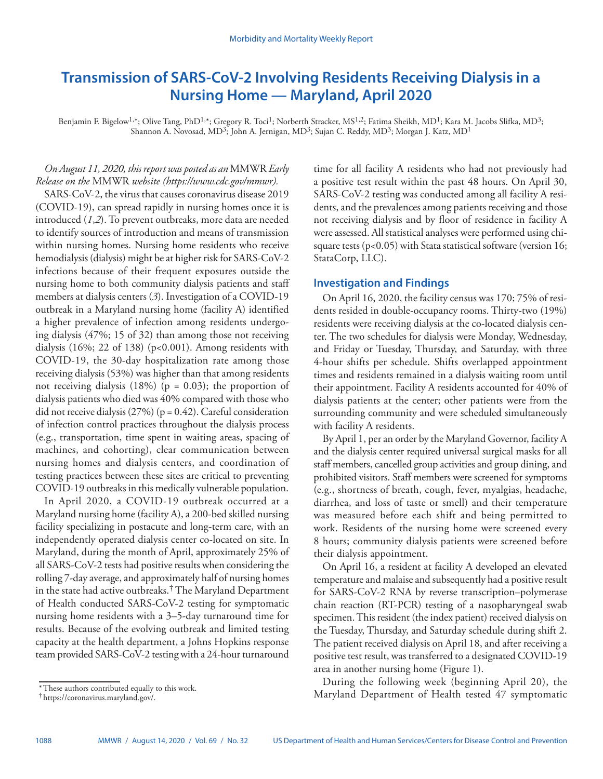# **Transmission of SARS-CoV-2 Involving Residents Receiving Dialysis in a Nursing Home — Maryland, April 2020**

Benjamin F. Bigelow<sup>1,\*</sup>; Olive Tang, PhD<sup>1,\*</sup>; Gregory R. Toci<sup>1</sup>; Norberth Stracker, MS<sup>1,2</sup>; Fatima Sheikh, MD<sup>1</sup>; Kara M. Jacobs Slifka, MD<sup>3</sup>; Shannon A. Novosad, MD<sup>3</sup>; John A. Jernigan, MD<sup>3</sup>; Sujan C. Reddy, MD<sup>3</sup>; Morgan J. Katz, MD<sup>1</sup>

# *On August 11, 2020, this report was posted as an* MMWR *Early Release on the* MMWR *website [\(https://www.cdc.gov/mmwr\)](https://www.cdc.gov/mmwr).*

SARS-CoV-2, the virus that causes coronavirus disease 2019 (COVID-19), can spread rapidly in nursing homes once it is introduced (*1*,*2*). To prevent outbreaks, more data are needed to identify sources of introduction and means of transmission within nursing homes. Nursing home residents who receive hemodialysis (dialysis) might be at higher risk for SARS-CoV-2 infections because of their frequent exposures outside the nursing home to both community dialysis patients and staff members at dialysis centers (*3*). Investigation of a COVID-19 outbreak in a Maryland nursing home (facility A) identified a higher prevalence of infection among residents undergoing dialysis (47%; 15 of 32) than among those not receiving dialysis  $(16\%; 22 \text{ of } 138)$  (p<0.001). Among residents with COVID-19, the 30-day hospitalization rate among those receiving dialysis (53%) was higher than that among residents not receiving dialysis  $(18\%)$  (p = 0.03); the proportion of dialysis patients who died was 40% compared with those who did not receive dialysis (27%) (p = 0.42). Careful consideration of infection control practices throughout the dialysis process (e.g., transportation, time spent in waiting areas, spacing of machines, and cohorting), clear communication between nursing homes and dialysis centers, and coordination of testing practices between these sites are critical to preventing COVID-19 outbreaks in this medically vulnerable population.

In April 2020, a COVID-19 outbreak occurred at a Maryland nursing home (facility A), a 200-bed skilled nursing facility specializing in postacute and long-term care, with an independently operated dialysis center co-located on site. In Maryland, during the month of April, approximately 25% of all SARS-CoV-2 tests had positive results when considering the rolling 7-day average, and approximately half of nursing homes in the state had active outbreaks.† The Maryland Department of Health conducted SARS-CoV-2 testing for symptomatic nursing home residents with a 3–5-day turnaround time for results. Because of the evolving outbreak and limited testing capacity at the health department, a Johns Hopkins response team provided SARS-CoV-2 testing with a 24-hour turnaround

time for all facility A residents who had not previously had a positive test result within the past 48 hours. On April 30, SARS-CoV-2 testing was conducted among all facility A residents, and the prevalences among patients receiving and those not receiving dialysis and by floor of residence in facility A were assessed. All statistical analyses were performed using chisquare tests ( $p<0.05$ ) with Stata statistical software (version 16; StataCorp, LLC).

## **Investigation and Findings**

On April 16, 2020, the facility census was 170; 75% of residents resided in double-occupancy rooms. Thirty-two (19%) residents were receiving dialysis at the co-located dialysis center. The two schedules for dialysis were Monday, Wednesday, and Friday or Tuesday, Thursday, and Saturday, with three 4-hour shifts per schedule. Shifts overlapped appointment times and residents remained in a dialysis waiting room until their appointment. Facility A residents accounted for 40% of dialysis patients at the center; other patients were from the surrounding community and were scheduled simultaneously with facility A residents.

By April 1, per an order by the Maryland Governor, facility A and the dialysis center required universal surgical masks for all staff members, cancelled group activities and group dining, and prohibited visitors. Staff members were screened for symptoms (e.g., shortness of breath, cough, fever, myalgias, headache, diarrhea, and loss of taste or smell) and their temperature was measured before each shift and being permitted to work. Residents of the nursing home were screened every 8 hours; community dialysis patients were screened before their dialysis appointment.

On April 16, a resident at facility A developed an elevated temperature and malaise and subsequently had a positive result for SARS-CoV-2 RNA by reverse transcription–polymerase chain reaction (RT-PCR) testing of a nasopharyngeal swab specimen. This resident (the index patient) received dialysis on the Tuesday, Thursday, and Saturday schedule during shift 2. The patient received dialysis on April 18, and after receiving a positive test result, was transferred to a designated COVID-19 area in another nursing home (Figure 1).

During the following week (beginning April 20), the Maryland Department of Health tested 47 symptomatic

<sup>\*</sup>These authors contributed equally to this work.

<sup>†</sup> <https://coronavirus.maryland.gov/>.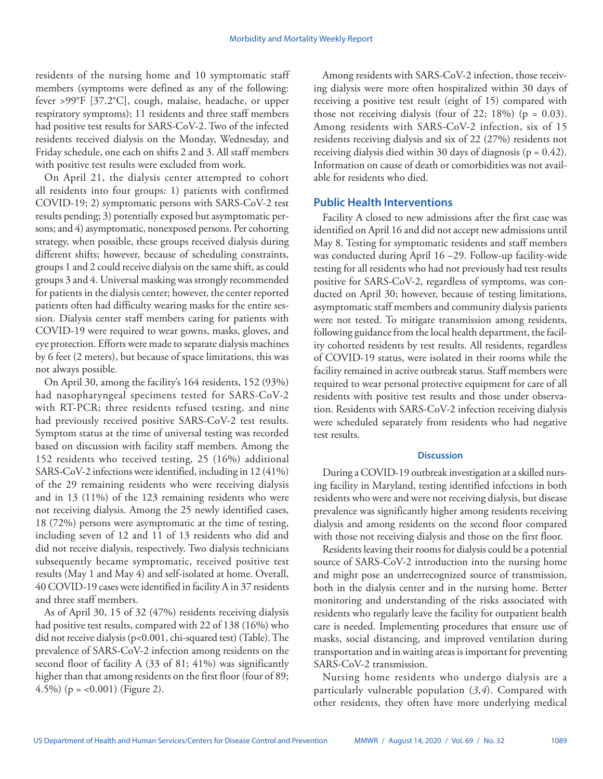residents of the nursing home and 10 symptomatic staff members (symptoms were defined as any of the following: fever >99°F [37.2°C], cough, malaise, headache, or upper respiratory symptoms); 11 residents and three staff members had positive test results for SARS-CoV-2. Two of the infected residents received dialysis on the Monday, Wednesday, and Friday schedule, one each on shifts 2 and 3. All staff members with positive test results were excluded from work.

On April 21, the dialysis center attempted to cohort all residents into four groups: 1) patients with confirmed COVID-19; 2) symptomatic persons with SARS-CoV-2 test results pending; 3) potentially exposed but asymptomatic persons; and 4) asymptomatic, nonexposed persons. Per cohorting strategy, when possible, these groups received dialysis during different shifts; however, because of scheduling constraints, groups 1 and 2 could receive dialysis on the same shift, as could groups 3 and 4. Universal masking was strongly recommended for patients in the dialysis center; however, the center reported patients often had difficulty wearing masks for the entire session. Dialysis center staff members caring for patients with COVID-19 were required to wear gowns, masks, gloves, and eye protection. Efforts were made to separate dialysis machines by 6 feet (2 meters), but because of space limitations, this was not always possible.

On April 30, among the facility's 164 residents, 152 (93%) had nasopharyngeal specimens tested for SARS-CoV-2 with RT-PCR; three residents refused testing, and nine had previously received positive SARS-CoV-2 test results. Symptom status at the time of universal testing was recorded based on discussion with facility staff members. Among the 152 residents who received testing, 25 (16%) additional SARS-CoV-2 infections were identified, including in 12 (41%) of the 29 remaining residents who were receiving dialysis and in 13 (11%) of the 123 remaining residents who were not receiving dialysis. Among the 25 newly identified cases, 18 (72%) persons were asymptomatic at the time of testing, including seven of 12 and 11 of 13 residents who did and did not receive dialysis, respectively. Two dialysis technicians subsequently became symptomatic, received positive test results (May 1 and May 4) and self-isolated at home. Overall, 40 COVID-19 cases were identified in facility A in 37 residents and three staff members.

As of April 30, 15 of 32 (47%) residents receiving dialysis had positive test results, compared with 22 of 138 (16%) who did not receive dialysis (p<0.001, chi-squared test) (Table). The prevalence of SARS-CoV-2 infection among residents on the second floor of facility A (33 of 81; 41%) was significantly higher than that among residents on the first floor (four of 89; 4.5%) ( $p = <0.001$ ) (Figure 2).

Among residents with SARS-CoV-2 infection, those receiving dialysis were more often hospitalized within 30 days of receiving a positive test result (eight of 15) compared with those not receiving dialysis (four of 22; 18%) ( $p = 0.03$ ). Among residents with SARS-CoV-2 infection, six of 15 residents receiving dialysis and six of 22 (27%) residents not receiving dialysis died within 30 days of diagnosis ( $p = 0.42$ ). Information on cause of death or comorbidities was not available for residents who died.

## **Public Health Interventions**

Facility A closed to new admissions after the first case was identified on April 16 and did not accept new admissions until May 8. Testing for symptomatic residents and staff members was conducted during April 16 –29. Follow-up facility-wide testing for all residents who had not previously had test results positive for SARS-CoV-2, regardless of symptoms, was conducted on April 30; however, because of testing limitations, asymptomatic staff members and community dialysis patients were not tested. To mitigate transmission among residents, following guidance from the local health department, the facility cohorted residents by test results. All residents, regardless of COVID-19 status, were isolated in their rooms while the facility remained in active outbreak status. Staff members were required to wear personal protective equipment for care of all residents with positive test results and those under observation. Residents with SARS-CoV-2 infection receiving dialysis were scheduled separately from residents who had negative test results.

### **Discussion**

During a COVID-19 outbreak investigation at a skilled nursing facility in Maryland, testing identified infections in both residents who were and were not receiving dialysis, but disease prevalence was significantly higher among residents receiving dialysis and among residents on the second floor compared with those not receiving dialysis and those on the first floor.

Residents leaving their rooms for dialysis could be a potential source of SARS-CoV-2 introduction into the nursing home and might pose an underrecognized source of transmission, both in the dialysis center and in the nursing home. Better monitoring and understanding of the risks associated with residents who regularly leave the facility for outpatient health care is needed. Implementing procedures that ensure use of masks, social distancing, and improved ventilation during transportation and in waiting areas is important for preventing SARS-CoV-2 transmission.

Nursing home residents who undergo dialysis are a particularly vulnerable population (*3*,*4*). Compared with other residents, they often have more underlying medical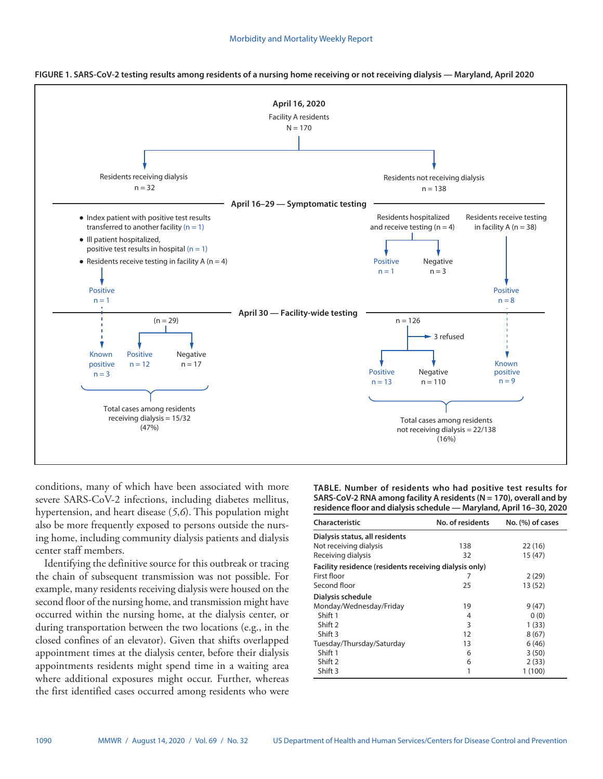

**FIGURE 1. SARS-CoV-2 testing results among residents of a nursing home receiving or not receiving dialysis — Maryland, April 2020**

conditions, many of which have been associated with more severe SARS-CoV-2 infections, including diabetes mellitus, hypertension, and heart disease (*5*,*6*). This population might also be more frequently exposed to persons outside the nursing home, including community dialysis patients and dialysis center staff members.

Identifying the definitive source for this outbreak or tracing the chain of subsequent transmission was not possible. For example, many residents receiving dialysis were housed on the second floor of the nursing home, and transmission might have occurred within the nursing home, at the dialysis center, or during transportation between the two locations (e.g., in the closed confines of an elevator). Given that shifts overlapped appointment times at the dialysis center, before their dialysis appointments residents might spend time in a waiting area where additional exposures might occur. Further, whereas the first identified cases occurred among residents who were **TABLE. Number of residents who had positive test results for SARS-CoV-2 RNA among facility A residents (N = 170), overall and by residence floor and dialysis schedule — Maryland, April 16–30, 2020**

| Characteristic                                         | No. of residents | No. (%) of cases |
|--------------------------------------------------------|------------------|------------------|
| Dialysis status, all residents                         |                  |                  |
| Not receiving dialysis                                 | 138              | 22(16)           |
| Receiving dialysis                                     | 32               | 15 (47)          |
| Facility residence (residents receiving dialysis only) |                  |                  |
| First floor                                            |                  | 2(29)            |
| Second floor                                           | 25               | 13 (52)          |
| Dialysis schedule                                      |                  |                  |
| Monday/Wednesday/Friday                                | 19               | 9(47)            |
| Shift 1                                                | 4                | 0(0)             |
| Shift 2                                                | 3                | 1(33)            |
| Shift 3                                                | 12               | 8(67)            |
| Tuesday/Thursday/Saturday                              | 13               | 6(46)            |
| Shift 1                                                | 6                | 3(50)            |
| Shift 2                                                | 6                | 2(33)            |
| Shift 3                                                | 1                | 1 (100)          |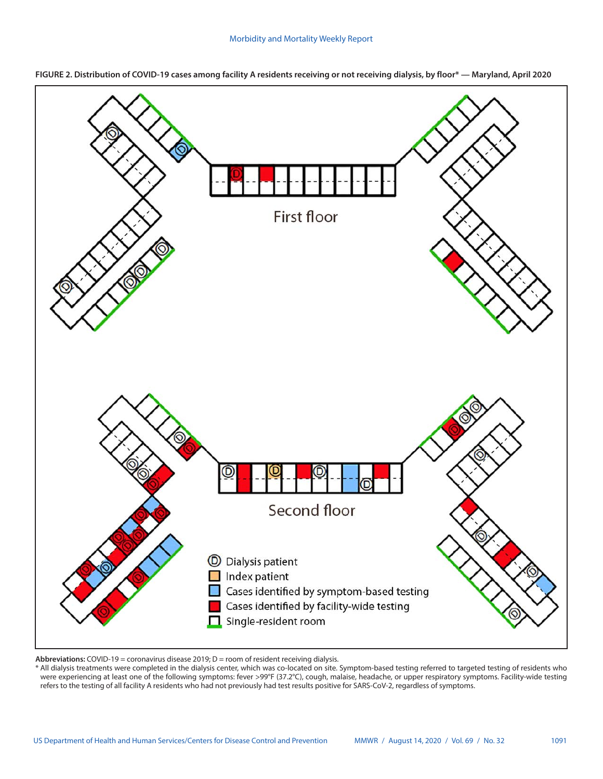

**FIGURE 2. Distribution of COVID-19 cases among facility A residents receiving or not receiving dialysis, by floor\* — Maryland, April 2020**

**Abbreviations:** COVID-19 = coronavirus disease 2019; D = room of resident receiving dialysis.

\* All dialysis treatments were completed in the dialysis center, which was co-located on site. Symptom-based testing referred to targeted testing of residents who were experiencing at least one of the following symptoms: fever >99°F (37.2°C), cough, malaise, headache, or upper respiratory symptoms. Facility-wide testing refers to the testing of all facility A residents who had not previously had test results positive for SARS-CoV-2, regardless of symptoms.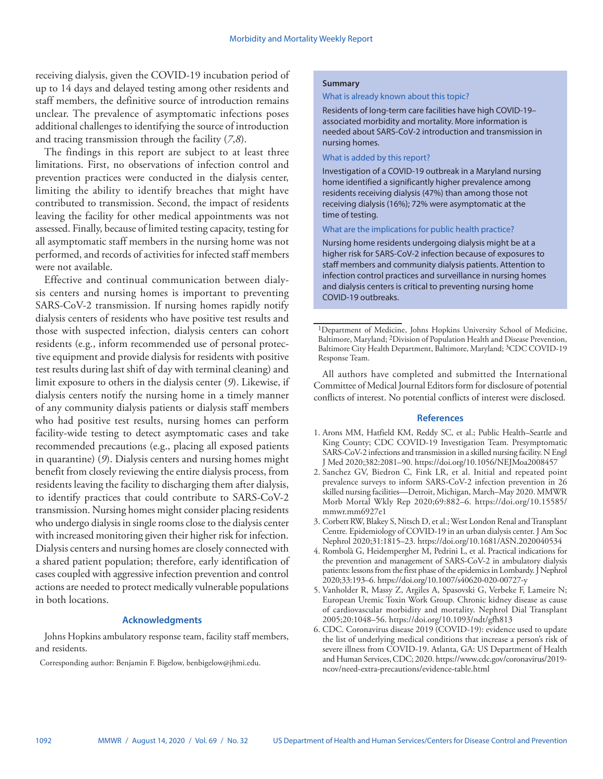receiving dialysis, given the COVID-19 incubation period of up to 14 days and delayed testing among other residents and staff members, the definitive source of introduction remains unclear. The prevalence of asymptomatic infections poses additional challenges to identifying the source of introduction and tracing transmission through the facility (*7*,*8*).

The findings in this report are subject to at least three limitations. First, no observations of infection control and prevention practices were conducted in the dialysis center, limiting the ability to identify breaches that might have contributed to transmission. Second, the impact of residents leaving the facility for other medical appointments was not assessed. Finally, because of limited testing capacity, testing for all asymptomatic staff members in the nursing home was not performed, and records of activities for infected staff members were not available.

Effective and continual communication between dialysis centers and nursing homes is important to preventing SARS-CoV-2 transmission. If nursing homes rapidly notify dialysis centers of residents who have positive test results and those with suspected infection, dialysis centers can cohort residents (e.g., inform recommended use of personal protective equipment and provide dialysis for residents with positive test results during last shift of day with terminal cleaning) and limit exposure to others in the dialysis center (*9*). Likewise, if dialysis centers notify the nursing home in a timely manner of any community dialysis patients or dialysis staff members who had positive test results, nursing homes can perform facility-wide testing to detect asymptomatic cases and take recommended precautions (e.g., placing all exposed patients in quarantine) (*9*). Dialysis centers and nursing homes might benefit from closely reviewing the entire dialysis process, from residents leaving the facility to discharging them after dialysis, to identify practices that could contribute to SARS-CoV-2 transmission. Nursing homes might consider placing residents who undergo dialysis in single rooms close to the dialysis center with increased monitoring given their higher risk for infection. Dialysis centers and nursing homes are closely connected with a shared patient population; therefore, early identification of cases coupled with aggressive infection prevention and control actions are needed to protect medically vulnerable populations in both locations.

#### **Acknowledgments**

Johns Hopkins ambulatory response team, facility staff members, and residents.

Corresponding author: Benjamin F. Bigelow, [benbigelow@jhmi.edu.](mailto:benbigelow@jhmi.edu)

#### **Summary**

#### What is already known about this topic?

Residents of long-term care facilities have high COVID-19– associated morbidity and mortality. More information is needed about SARS-CoV-2 introduction and transmission in nursing homes.

#### What is added by this report?

Investigation of a COVID-19 outbreak in a Maryland nursing home identified a significantly higher prevalence among residents receiving dialysis (47%) than among those not receiving dialysis (16%); 72% were asymptomatic at the time of testing.

#### What are the implications for public health practice?

Nursing home residents undergoing dialysis might be at a higher risk for SARS-CoV-2 infection because of exposures to staff members and community dialysis patients. Attention to infection control practices and surveillance in nursing homes and dialysis centers is critical to preventing nursing home COVID-19 outbreaks.

<sup>1</sup>Department of Medicine, Johns Hopkins University School of Medicine, Baltimore, Maryland; 2Division of Population Health and Disease Prevention, Baltimore City Health Department, Baltimore, Maryland; <sup>3</sup>CDC COVID-19 Response Team.

All authors have completed and submitted the International Committee of Medical Journal Editors form for disclosure of potential conflicts of interest. No potential conflicts of interest were disclosed.

#### **References**

- 1. Arons MM, Hatfield KM, Reddy SC, et al.; Public Health–Seattle and King County; CDC COVID-19 Investigation Team. Presymptomatic SARS-CoV-2 infections and transmission in a skilled nursing facility. N Engl J Med 2020;382:2081–90.<https://doi.org/10.1056/NEJMoa2008457>
- 2. Sanchez GV, Biedron C, Fink LR, et al. Initial and repeated point prevalence surveys to inform SARS-CoV-2 infection prevention in 26 skilled nursing facilities—Detroit, Michigan, March–May 2020. MMWR Morb Mortal Wkly Rep 2020;69:882–6. [https://doi.org/10.15585/](https://doi.org/10.15585/mmwr.mm6927e1) [mmwr.mm6927e1](https://doi.org/10.15585/mmwr.mm6927e1)
- 3. Corbett RW, Blakey S, Nitsch D, et al.; West London Renal and Transplant Centre. Epidemiology of COVID-19 in an urban dialysis center. J Am Soc Nephrol 2020;31:1815–23.<https://doi.org/10.1681/ASN.2020040534>
- 4. Rombolà G, Heidempergher M, Pedrini L, et al. Practical indications for the prevention and management of SARS-CoV-2 in ambulatory dialysis patients: lessons from the first phase of the epidemics in Lombardy. J Nephrol 2020;33:193–6.<https://doi.org/10.1007/s40620-020-00727-y>
- 5. Vanholder R, Massy Z, Argiles A, Spasovski G, Verbeke F, Lameire N; European Uremic Toxin Work Group. Chronic kidney disease as cause of cardiovascular morbidity and mortality. Nephrol Dial Transplant 2005;20:1048–56.<https://doi.org/10.1093/ndt/gfh813>
- 6. CDC. Coronavirus disease 2019 (COVID-19): evidence used to update the list of underlying medical conditions that increase a person's risk of severe illness from COVID-19. Atlanta, GA: US Department of Health and Human Services, CDC; 2020. [https://www.cdc.gov/coronavirus/2019](https://www.cdc.gov/coronavirus/2019-ncov/need-extra-precautions/evidence-table.html) [ncov/need-extra-precautions/evidence-table.html](https://www.cdc.gov/coronavirus/2019-ncov/need-extra-precautions/evidence-table.html)